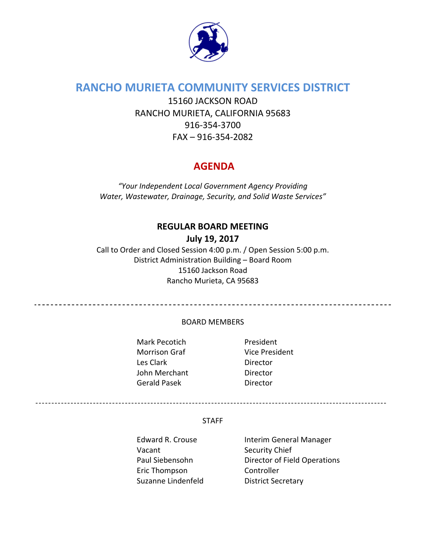

# **RANCHO MURIETA COMMUNITY SERVICES DISTRICT**

15160 JACKSON ROAD RANCHO MURIETA, CALIFORNIA 95683 916‐354‐3700 FAX – 916‐354‐2082

# **AGENDA**

*"Your Independent Local Government Agency Providing Water, Wastewater, Drainage, Security, and Solid Waste Services"*

## **REGULAR BOARD MEETING July 19, 2017**

Call to Order and Closed Session 4:00 p.m. / Open Session 5:00 p.m. District Administration Building – Board Room 15160 Jackson Road Rancho Murieta, CA 95683

#### BOARD MEMBERS

Mark Pecotich President Morrison Graf Vice President Les Clark **Director** John Merchant **Director** Gerald Pasek **Director** 

#### STAFF

Vacant Security Chief Eric Thompson Controller Suzanne Lindenfeld **District Secretary** 

Edward R. Crouse Interim General Manager Paul Siebensohn Director of Field Operations

--------------------------------------------------------------------------------------------------------------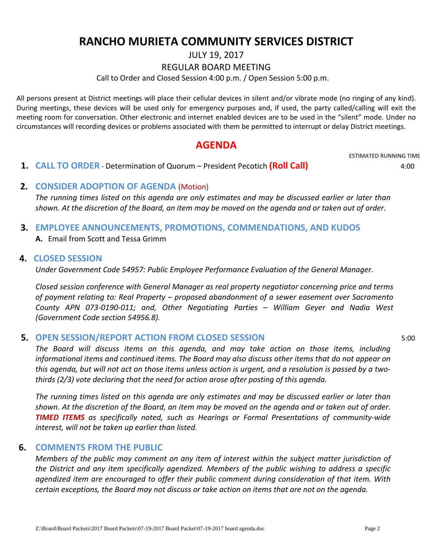# **RANCHO MURIETA COMMUNITY SERVICES DISTRICT**

JULY 19, 2017

#### REGULAR BOARD MEETING

Call to Order and Closed Session 4:00 p.m. / Open Session 5:00 p.m.

All persons present at District meetings will place their cellular devices in silent and/or vibrate mode (no ringing of any kind). During meetings, these devices will be used only for emergency purposes and, if used, the party called/calling will exit the meeting room for conversation. Other electronic and internet enabled devices are to be used in the "silent" mode. Under no circumstances will recording devices or problems associated with them be permitted to interrupt or delay District meetings.

## **AGENDA**

 **1. CALL TO ORDER** ‐ Determination of Quorum – President Pecotich **(Roll Call)** 4:00

ESTIMATED RUNNING TIME

#### **2. CONSIDER ADOPTION OF AGENDA** (Motion)

The running times listed on this agenda are only estimates and may be discussed earlier or later than shown. At the discretion of the Board, an item may be moved on the agenda and or taken out of order.

#### **3. EMPLOYEE ANNOUNCEMENTS, PROMOTIONS, COMMENDATIONS, AND KUDOS**

**A.** Email from Scott and Tessa Grimm

#### **4. CLOSED SESSION**

*Under Government Code 54957: Public Employee Performance Evaluation of the General Manager.*

*Closed session conference with General Manager as real property negotiator concerning price and terms of payment relating to: Real Property – proposed abandonment of a sewer easement over Sacramento County APN 073‐0190‐011; and, Other Negotiating Parties – William Geyer and Nadia West (Government Code section 54956.8).*

#### **5. OPEN SESSION/REPORT ACTION FROM CLOSED SESSION** 5:00

*The Board will discuss items on this agenda, and may take action on those items, including informational items and continued items. The Board may also discuss other items that do not appear on* this agenda, but will not act on those items unless action is urgent, and a resolution is passed by a two*thirds (2/3) vote declaring that the need for action arose after posting of this agenda.*

The running times listed on this agenda are only estimates and may be discussed earlier or later than shown. At the discretion of the Board, an item may be moved on the agenda and or taken out of order. *TIMED ITEMS as specifically noted, such as Hearings or Formal Presentations of community‐wide interest, will not be taken up earlier than listed.*

#### **6. COMMENTS FROM THE PUBLIC**

*Members of the public may comment on any item of interest within the subject matter jurisdiction of the District and any item specifically agendized. Members of the public wishing to address a specific agendized item are encouraged to offer their public comment during consideration of that item. With* certain exceptions, the Board may not discuss or take action on items that are not on the agenda.